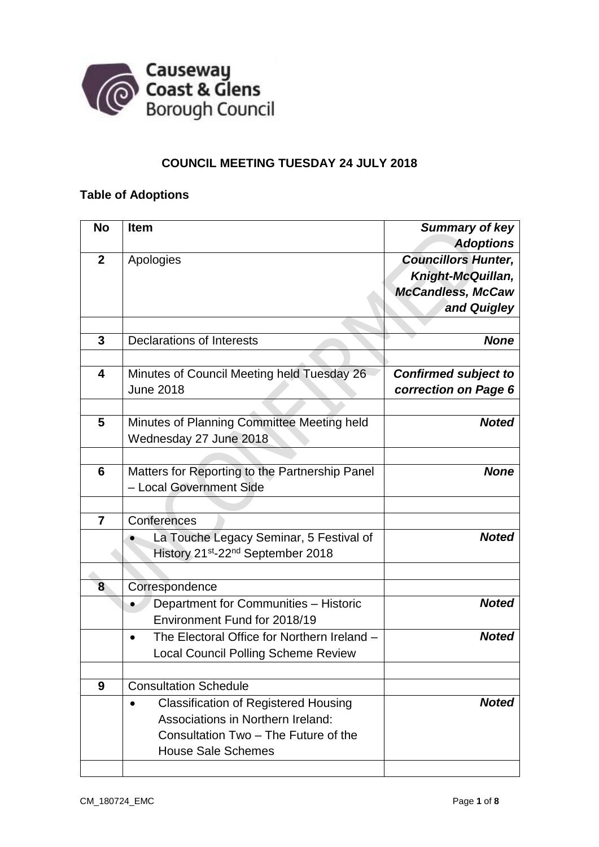

## **COUNCIL MEETING TUESDAY 24 JULY 2018**

# **Table of Adoptions**

| <b>No</b>      | <b>Item</b>                                               | <b>Summary of key</b>       |
|----------------|-----------------------------------------------------------|-----------------------------|
|                |                                                           | <b>Adoptions</b>            |
| $\mathbf{2}$   | Apologies                                                 | <b>Councillors Hunter,</b>  |
|                |                                                           | Knight-McQuillan,           |
|                |                                                           | <b>McCandless, McCaw</b>    |
|                |                                                           | and Quigley                 |
|                |                                                           |                             |
| 3              | <b>Declarations of Interests</b>                          | <b>None</b>                 |
|                |                                                           |                             |
| 4              | Minutes of Council Meeting held Tuesday 26                | <b>Confirmed subject to</b> |
|                | <b>June 2018</b>                                          | correction on Page 6        |
|                |                                                           |                             |
| 5              | Minutes of Planning Committee Meeting held                | <b>Noted</b>                |
|                | Wednesday 27 June 2018                                    |                             |
|                |                                                           |                             |
| 6              | Matters for Reporting to the Partnership Panel            | <b>None</b>                 |
|                | - Local Government Side                                   |                             |
|                |                                                           |                             |
| $\overline{7}$ | Conferences                                               |                             |
|                | La Touche Legacy Seminar, 5 Festival of                   | <b>Noted</b>                |
|                | History 21 <sup>st</sup> -22 <sup>nd</sup> September 2018 |                             |
|                |                                                           |                             |
| 8              | Correspondence                                            |                             |
|                | Department for Communities - Historic                     | <b>Noted</b>                |
|                | Environment Fund for 2018/19                              |                             |
|                | The Electoral Office for Northern Ireland -<br>$\bullet$  | <b>Noted</b>                |
|                | <b>Local Council Polling Scheme Review</b>                |                             |
|                |                                                           |                             |
| 9              | <b>Consultation Schedule</b>                              |                             |
|                | <b>Classification of Registered Housing</b>               | <b>Noted</b>                |
|                | Associations in Northern Ireland:                         |                             |
|                | Consultation Two - The Future of the                      |                             |
|                | <b>House Sale Schemes</b>                                 |                             |
|                |                                                           |                             |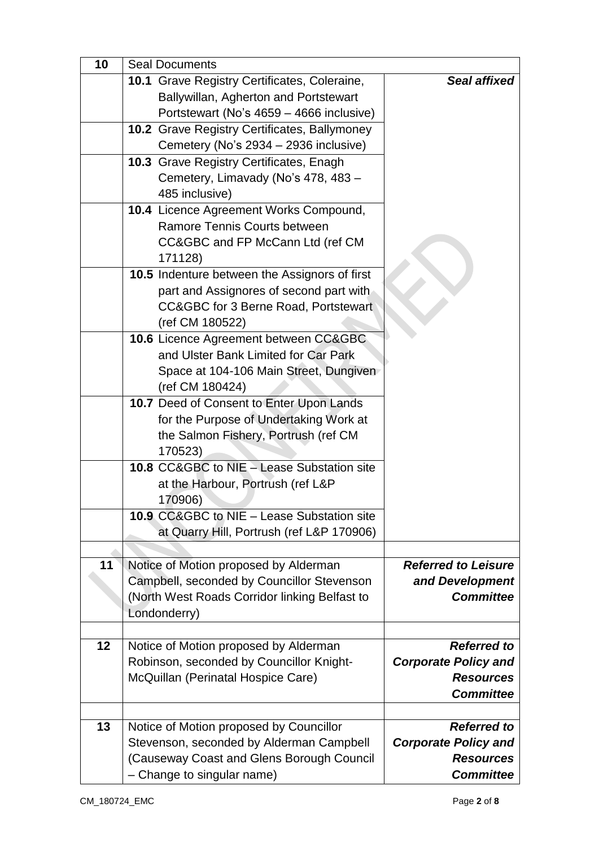| 10 | <b>Seal Documents</b>                                                               |                             |  |  |  |  |
|----|-------------------------------------------------------------------------------------|-----------------------------|--|--|--|--|
|    | 10.1 Grave Registry Certificates, Coleraine,                                        | Seal affixed                |  |  |  |  |
|    | Ballywillan, Agherton and Portstewart                                               |                             |  |  |  |  |
|    | Portstewart (No's 4659 - 4666 inclusive)                                            |                             |  |  |  |  |
|    | <b>10.2</b> Grave Registry Certificates, Ballymoney                                 |                             |  |  |  |  |
|    | Cemetery (No's 2934 - 2936 inclusive)                                               |                             |  |  |  |  |
|    | <b>10.3</b> Grave Registry Certificates, Enagh                                      |                             |  |  |  |  |
|    | Cemetery, Limavady (No's 478, 483 -                                                 |                             |  |  |  |  |
|    | 485 inclusive)                                                                      |                             |  |  |  |  |
|    | 10.4 Licence Agreement Works Compound,                                              |                             |  |  |  |  |
|    | Ramore Tennis Courts between                                                        |                             |  |  |  |  |
|    | CC&GBC and FP McCann Ltd (ref CM                                                    |                             |  |  |  |  |
|    | 171128)                                                                             |                             |  |  |  |  |
|    | 10.5 Indenture between the Assignors of first                                       |                             |  |  |  |  |
|    | part and Assignores of second part with                                             |                             |  |  |  |  |
|    | CC&GBC for 3 Berne Road, Portstewart                                                |                             |  |  |  |  |
|    | (ref CM 180522)                                                                     |                             |  |  |  |  |
|    | 10.6 Licence Agreement between CC&GBC                                               |                             |  |  |  |  |
|    | and Ulster Bank Limited for Car Park                                                |                             |  |  |  |  |
|    | Space at 104-106 Main Street, Dungiven                                              |                             |  |  |  |  |
|    | (ref CM 180424)                                                                     |                             |  |  |  |  |
|    | 10.7 Deed of Consent to Enter Upon Lands                                            |                             |  |  |  |  |
|    | for the Purpose of Undertaking Work at                                              |                             |  |  |  |  |
|    | the Salmon Fishery, Portrush (ref CM                                                |                             |  |  |  |  |
|    | 170523)                                                                             |                             |  |  |  |  |
|    | <b>10.8 CC&amp;GBC to NIE – Lease Substation site</b>                               |                             |  |  |  |  |
|    | at the Harbour, Portrush (ref L&P                                                   |                             |  |  |  |  |
|    | 170906)                                                                             |                             |  |  |  |  |
|    | 10.9 CC&GBC to NIE - Lease Substation site                                          |                             |  |  |  |  |
|    | at Quarry Hill, Portrush (ref L&P 170906)                                           |                             |  |  |  |  |
| 11 |                                                                                     | <b>Referred to Leisure</b>  |  |  |  |  |
|    | Notice of Motion proposed by Alderman<br>Campbell, seconded by Councillor Stevenson | and Development             |  |  |  |  |
|    | (North West Roads Corridor linking Belfast to                                       | <b>Committee</b>            |  |  |  |  |
|    | Londonderry)                                                                        |                             |  |  |  |  |
|    |                                                                                     |                             |  |  |  |  |
| 12 | Notice of Motion proposed by Alderman                                               | <b>Referred to</b>          |  |  |  |  |
|    | Robinson, seconded by Councillor Knight-                                            | <b>Corporate Policy and</b> |  |  |  |  |
|    | McQuillan (Perinatal Hospice Care)                                                  | <b>Resources</b>            |  |  |  |  |
|    |                                                                                     | <b>Committee</b>            |  |  |  |  |
|    |                                                                                     |                             |  |  |  |  |
| 13 | Notice of Motion proposed by Councillor                                             | <b>Referred to</b>          |  |  |  |  |
|    | Stevenson, seconded by Alderman Campbell                                            | <b>Corporate Policy and</b> |  |  |  |  |
|    | (Causeway Coast and Glens Borough Council                                           | <b>Resources</b>            |  |  |  |  |
|    | - Change to singular name)                                                          | <b>Committee</b>            |  |  |  |  |
|    |                                                                                     |                             |  |  |  |  |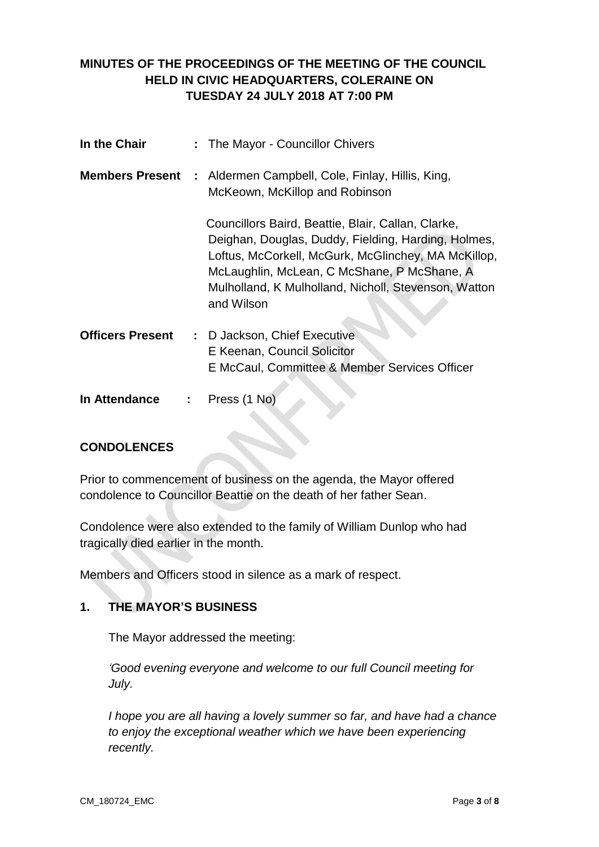# **MINUTES OF THE PROCEEDINGS OF THE MEETING OF THE COUNCIL HELD IN CIVIC HEADQUARTERS, COLERAINE ON TUESDAY 24 JULY 2018 AT 7:00 PM**

| In the Chair            | : The Mayor - Councillor Chivers                                                                                                                                                                                                                                                      |
|-------------------------|---------------------------------------------------------------------------------------------------------------------------------------------------------------------------------------------------------------------------------------------------------------------------------------|
| <b>Members Present</b>  | : Aldermen Campbell, Cole, Finlay, Hillis, King,<br>McKeown, McKillop and Robinson                                                                                                                                                                                                    |
|                         | Councillors Baird, Beattie, Blair, Callan, Clarke,<br>Deighan, Douglas, Duddy, Fielding, Harding, Holmes,<br>Loftus, McCorkell, McGurk, McGlinchey, MA McKillop,<br>McLaughlin, McLean, C McShane, P McShane, A<br>Mulholland, K Mulholland, Nicholl, Stevenson, Watton<br>and Wilson |
| <b>Officers Present</b> | : D Jackson, Chief Executive<br>E Keenan, Council Solicitor<br>E McCaul, Committee & Member Services Officer                                                                                                                                                                          |
| In Attendance           | Press (1 No)                                                                                                                                                                                                                                                                          |

# **CONDOLENCES**

Prior to commencement of business on the agenda, the Mayor offered condolence to Councillor Beattie on the death of her father Sean.

Condolence were also extended to the family of William Dunlop who had tragically died earlier in the month.

Members and Officers stood in silence as a mark of respect.

### **1. THE MAYOR'S BUSINESS**

The Mayor addressed the meeting:

*'Good evening everyone and welcome to our full Council meeting for July.*

*I hope you are all having a lovely summer so far, and have had a chance to enjoy the exceptional weather which we have been experiencing recently.*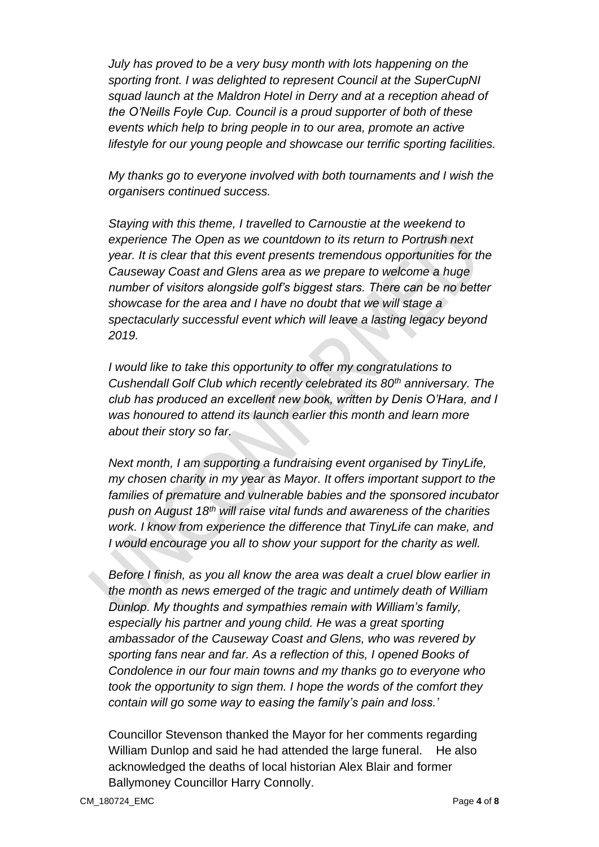*July has proved to be a very busy month with lots happening on the sporting front. I was delighted to represent Council at the SuperCupNI squad launch at the Maldron Hotel in Derry and at a reception ahead of the O'Neills Foyle Cup. Council is a proud supporter of both of these events which help to bring people in to our area, promote an active lifestyle for our young people and showcase our terrific sporting facilities.*

*My thanks go to everyone involved with both tournaments and I wish the organisers continued success.*

*Staying with this theme, I travelled to Carnoustie at the weekend to experience The Open as we countdown to its return to Portrush next year. It is clear that this event presents tremendous opportunities for the Causeway Coast and Glens area as we prepare to welcome a huge number of visitors alongside golf's biggest stars. There can be no better showcase for the area and I have no doubt that we will stage a spectacularly successful event which will leave a lasting legacy beyond 2019.*

*I would like to take this opportunity to offer my congratulations to Cushendall Golf Club which recently celebrated its 80th anniversary. The club has produced an excellent new book, written by Denis O'Hara, and I was honoured to attend its launch earlier this month and learn more about their story so far.* 

*Next month, I am supporting a fundraising event organised by TinyLife, my chosen charity in my year as Mayor. It offers important support to the families of premature and vulnerable babies and the sponsored incubator push on August 18th will raise vital funds and awareness of the charities work. I know from experience the difference that TinyLife can make, and I would encourage you all to show your support for the charity as well.* 

*Before I finish, as you all know the area was dealt a cruel blow earlier in the month as news emerged of the tragic and untimely death of William Dunlop. My thoughts and sympathies remain with William's family, especially his partner and young child. He was a great sporting ambassador of the Causeway Coast and Glens, who was revered by sporting fans near and far. As a reflection of this, I opened Books of Condolence in our four main towns and my thanks go to everyone who took the opportunity to sign them. I hope the words of the comfort they contain will go some way to easing the family's pain and loss.'*

Councillor Stevenson thanked the Mayor for her comments regarding William Dunlop and said he had attended the large funeral. He also acknowledged the deaths of local historian Alex Blair and former Ballymoney Councillor Harry Connolly.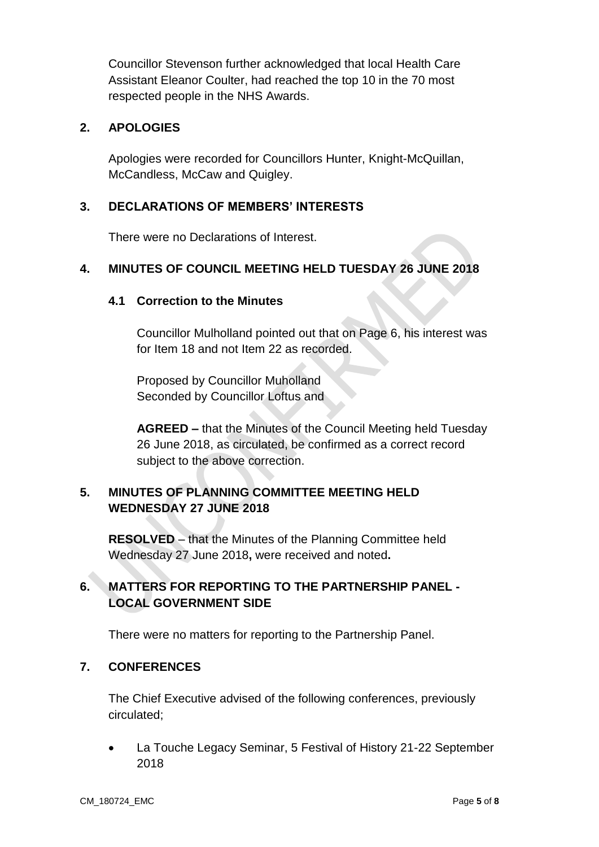Councillor Stevenson further acknowledged that local Health Care Assistant Eleanor Coulter, had reached the top 10 in the 70 most respected people in the NHS Awards.

#### **2. APOLOGIES**

Apologies were recorded for Councillors Hunter, Knight-McQuillan, McCandless, McCaw and Quigley.

### **3. DECLARATIONS OF MEMBERS' INTERESTS**

There were no Declarations of Interest.

### **4. MINUTES OF COUNCIL MEETING HELD TUESDAY 26 JUNE 2018**

#### **4.1 Correction to the Minutes**

Councillor Mulholland pointed out that on Page 6, his interest was for Item 18 and not Item 22 as recorded.

Proposed by Councillor Muholland Seconded by Councillor Loftus and

**AGREED –** that the Minutes of the Council Meeting held Tuesday 26 June 2018, as circulated, be confirmed as a correct record subject to the above correction.

## **5. MINUTES OF PLANNING COMMITTEE MEETING HELD WEDNESDAY 27 JUNE 2018**

**RESOLVED** – that the Minutes of the Planning Committee held Wednesday 27 June 2018**,** were received and noted**.**

# **6. MATTERS FOR REPORTING TO THE PARTNERSHIP PANEL - LOCAL GOVERNMENT SIDE**

There were no matters for reporting to the Partnership Panel.

### **7. CONFERENCES**

The Chief Executive advised of the following conferences, previously circulated;

 La Touche Legacy Seminar, 5 Festival of History 21-22 September 2018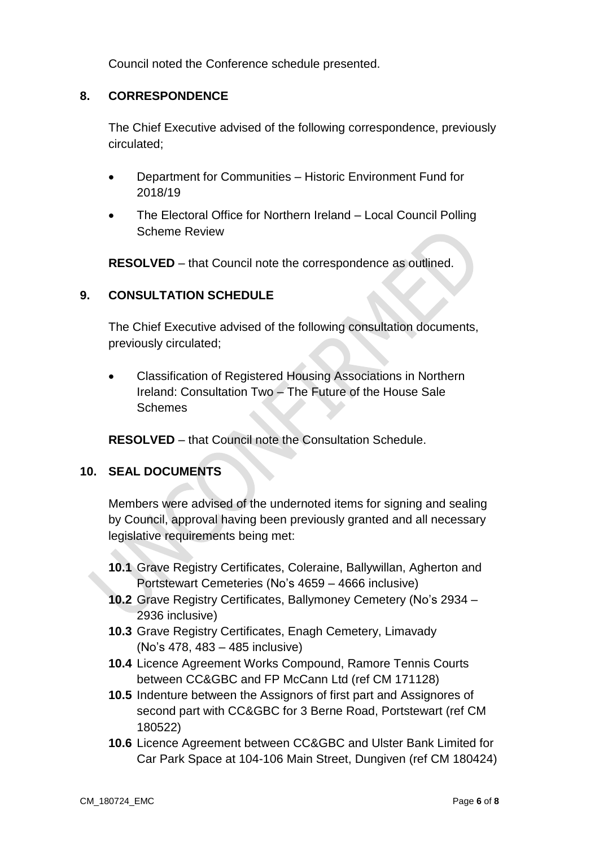Council noted the Conference schedule presented.

### **8. CORRESPONDENCE**

The Chief Executive advised of the following correspondence, previously circulated;

- Department for Communities Historic Environment Fund for 2018/19
- The Electoral Office for Northern Ireland Local Council Polling Scheme Review

**RESOLVED** – that Council note the correspondence as outlined.

#### **9. CONSULTATION SCHEDULE**

The Chief Executive advised of the following consultation documents, previously circulated;

 Classification of Registered Housing Associations in Northern Ireland: Consultation Two – The Future of the House Sale Schemes

**RESOLVED** – that Council note the Consultation Schedule.

#### **10. SEAL DOCUMENTS**

Members were advised of the undernoted items for signing and sealing by Council, approval having been previously granted and all necessary legislative requirements being met:

- **10.1** Grave Registry Certificates, Coleraine, Ballywillan, Agherton and Portstewart Cemeteries (No's 4659 – 4666 inclusive)
- **10.2** Grave Registry Certificates, Ballymoney Cemetery (No's 2934 2936 inclusive)
- **10.3** Grave Registry Certificates, Enagh Cemetery, Limavady (No's 478, 483 – 485 inclusive)
- **10.4** Licence Agreement Works Compound, Ramore Tennis Courts between CC&GBC and FP McCann Ltd (ref CM 171128)
- **10.5** Indenture between the Assignors of first part and Assignores of second part with CC&GBC for 3 Berne Road, Portstewart (ref CM 180522)
- **10.6** Licence Agreement between CC&GBC and Ulster Bank Limited for Car Park Space at 104-106 Main Street, Dungiven (ref CM 180424)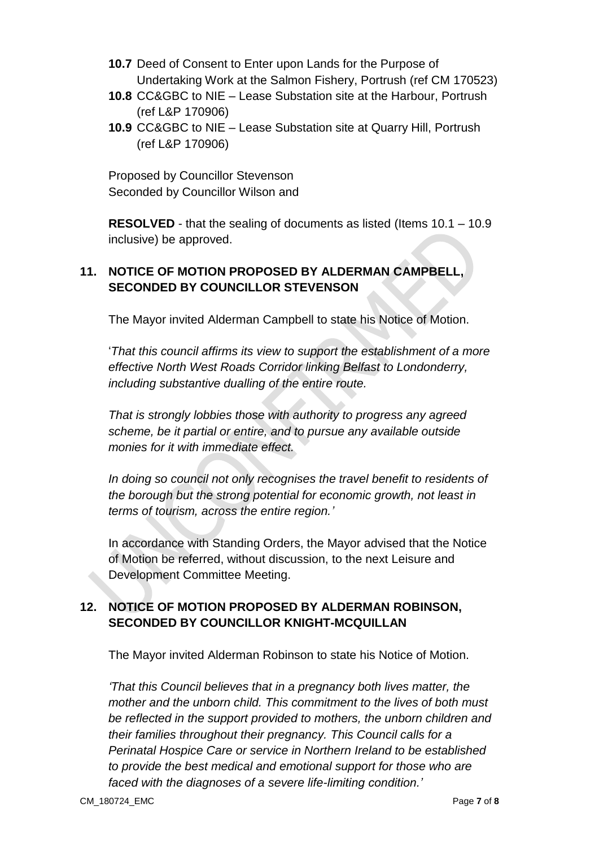- **10.7** Deed of Consent to Enter upon Lands for the Purpose of Undertaking Work at the Salmon Fishery, Portrush (ref CM 170523)
- **10.8** CC&GBC to NIE Lease Substation site at the Harbour, Portrush (ref L&P 170906)
- **10.9** CC&GBC to NIE Lease Substation site at Quarry Hill, Portrush (ref L&P 170906)

Proposed by Councillor Stevenson Seconded by Councillor Wilson and

**RESOLVED** - that the sealing of documents as listed (Items 10.1 – 10.9 inclusive) be approved.

# **11. NOTICE OF MOTION PROPOSED BY ALDERMAN CAMPBELL, SECONDED BY COUNCILLOR STEVENSON**

The Mayor invited Alderman Campbell to state his Notice of Motion.

'*That this council affirms its view to support the establishment of a more effective North West Roads Corridor linking Belfast to Londonderry, including substantive dualling of the entire route.*

*That is strongly lobbies those with authority to progress any agreed scheme, be it partial or entire, and to pursue any available outside monies for it with immediate effect.*

*In doing so council not only recognises the travel benefit to residents of the borough but the strong potential for economic growth, not least in terms of tourism, across the entire region.'*

In accordance with Standing Orders, the Mayor advised that the Notice of Motion be referred, without discussion, to the next Leisure and Development Committee Meeting.

## **12. NOTICE OF MOTION PROPOSED BY ALDERMAN ROBINSON, SECONDED BY COUNCILLOR KNIGHT-MCQUILLAN**

The Mayor invited Alderman Robinson to state his Notice of Motion.

*'That this Council believes that in a pregnancy both lives matter, the mother and the unborn child. This commitment to the lives of both must be reflected in the support provided to mothers, the unborn children and their families throughout their pregnancy. This Council calls for a Perinatal Hospice Care or service in Northern Ireland to be established to provide the best medical and emotional support for those who are faced with the diagnoses of a severe life-limiting condition.'*